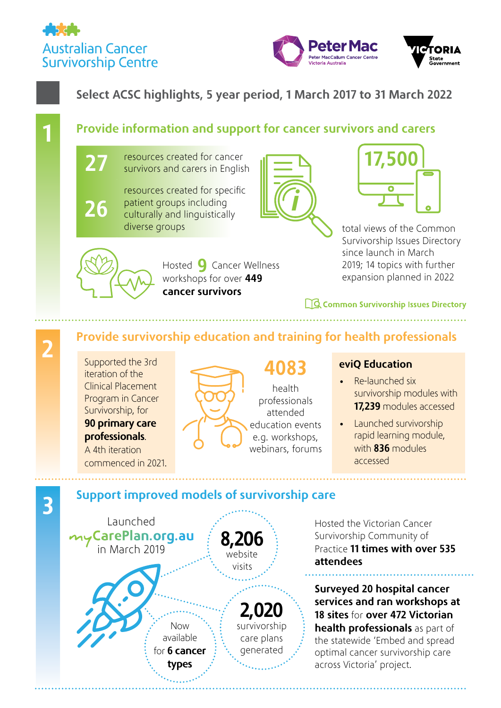